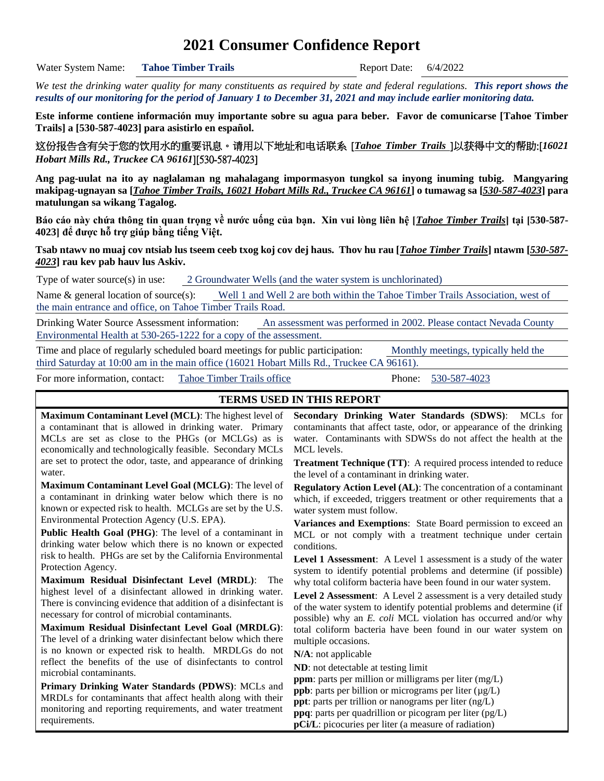# **2021 Consumer Confidence Report**

Water System Name: **Tahoe Timber Trails** Report Date: 6/4/2022

*We test the drinking water quality for many constituents as required by state and federal regulations. This report shows the results of our monitoring for the period of January 1 to December 31, 2021 and may include earlier monitoring data.*

**Este informe contiene información muy importante sobre su agua para beber. Favor de comunicarse [Tahoe Timber Trails] a [530-587-4023] para asistirlo en español.**

这份报告含有关于您的饮用水的重要讯息。请用以下地址和电话联系 [*Tahoe Timber Trails* ]以获得中文的帮助:[*16021 Hobart Mills Rd., Truckee CA 96161*][530-587-4023]

**Ang pag-uulat na ito ay naglalaman ng mahalagang impormasyon tungkol sa inyong inuming tubig. Mangyaring makipag-ugnayan sa [***Tahoe Timber Trails, 16021 Hobart Mills Rd., Truckee CA 96161***] o tumawag sa [***530-587-4023***] para matulungan sa wikang Tagalog.**

**Báo cáo này chứa thông tin quan trọng về nước uống của bạn. Xin vui lòng liên hệ [***Tahoe Timber Trails***] tại [530-587- 4023] để được hỗ trợ giúp bằng tiếng Việt.**

**Tsab ntawv no muaj cov ntsiab lus tseem ceeb txog koj cov dej haus. Thov hu rau [***Tahoe Timber Trails***] ntawm [***530-587- 4023***] rau kev pab hauv lus Askiv.**

Type of water source(s) in use: 2 Groundwater Wells (and the water system is unchlorinated)

Name & general location of source(s): Well 1 and Well 2 are both within the Tahoe Timber Trails Association, west of the main entrance and office, on Tahoe Timber Trails Road.

Drinking Water Source Assessment information: An assessment was performed in 2002. Please contact Nevada County Environmental Health at 530-265-1222 for a copy of the assessment.

Time and place of regularly scheduled board meetings for public participation: Monthly meetings, typically held the third Saturday at 10:00 am in the main office (16021 Hobart Mills Rd., Truckee CA 96161).

For more information, contact: Tahoe Timber Trails office Phone: 530-587-4023

#### **TERMS USED IN THIS REPORT**

**Maximum Contaminant Level (MCL)**: The highest level of a contaminant that is allowed in drinking water. Primary MCLs are set as close to the PHGs (or MCLGs) as is economically and technologically feasible. Secondary MCLs are set to protect the odor, taste, and appearance of drinking water.

**Maximum Contaminant Level Goal (MCLG)**: The level of a contaminant in drinking water below which there is no known or expected risk to health. MCLGs are set by the U.S. Environmental Protection Agency (U.S. EPA).

**Public Health Goal (PHG)**: The level of a contaminant in drinking water below which there is no known or expected risk to health. PHGs are set by the California Environmental Protection Agency.

**Maximum Residual Disinfectant Level (MRDL)**: The highest level of a disinfectant allowed in drinking water. There is convincing evidence that addition of a disinfectant is necessary for control of microbial contaminants.

**Maximum Residual Disinfectant Level Goal (MRDLG)**: The level of a drinking water disinfectant below which there is no known or expected risk to health. MRDLGs do not reflect the benefits of the use of disinfectants to control microbial contaminants.

**Primary Drinking Water Standards (PDWS)**: MCLs and MRDLs for contaminants that affect health along with their monitoring and reporting requirements, and water treatment requirements.

**Secondary Drinking Water Standards (SDWS)**:MCLs for contaminants that affect taste, odor, or appearance of the drinking water. Contaminants with SDWSs do not affect the health at the MCL levels.

**Treatment Technique (TT)**: A required process intended to reduce the level of a contaminant in drinking water.

**Regulatory Action Level (AL)**: The concentration of a contaminant which, if exceeded, triggers treatment or other requirements that a water system must follow.

**Variances and Exemptions**: State Board permission to exceed an MCL or not comply with a treatment technique under certain conditions.

**Level 1 Assessment**: A Level 1 assessment is a study of the water system to identify potential problems and determine (if possible) why total coliform bacteria have been found in our water system.

**Level 2 Assessment**: A Level 2 assessment is a very detailed study of the water system to identify potential problems and determine (if possible) why an *E. coli* MCL violation has occurred and/or why total coliform bacteria have been found in our water system on multiple occasions.

**N/A**: not applicable

**ND**: not detectable at testing limit

**ppm**: parts per million or milligrams per liter (mg/L)

**ppb**: parts per billion or micrograms per liter ( $\mu$ g/L)

**ppt**: parts per trillion or nanograms per liter (ng/L)

**ppq**: parts per quadrillion or picogram per liter (pg/L)

**pCi/L**: picocuries per liter (a measure of radiation)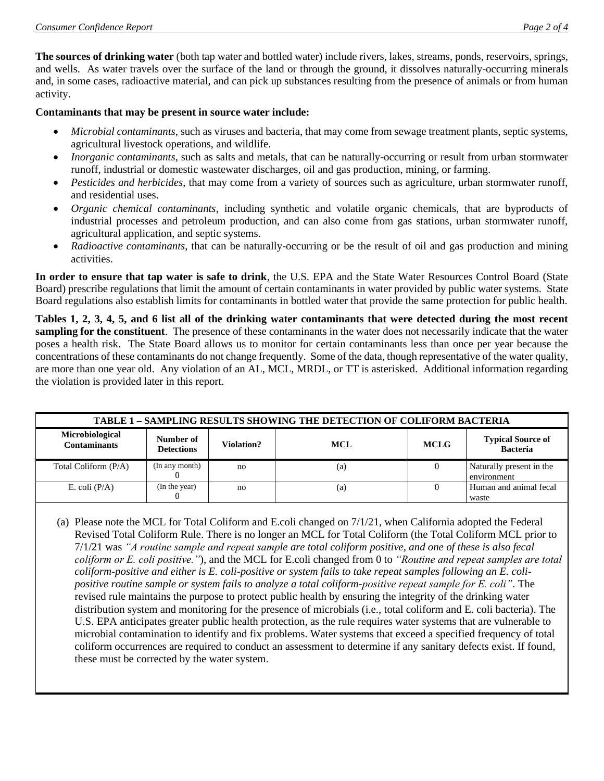**The sources of drinking water** (both tap water and bottled water) include rivers, lakes, streams, ponds, reservoirs, springs, and wells. As water travels over the surface of the land or through the ground, it dissolves naturally-occurring minerals and, in some cases, radioactive material, and can pick up substances resulting from the presence of animals or from human activity.

#### **Contaminants that may be present in source water include:**

- *Microbial contaminants*, such as viruses and bacteria, that may come from sewage treatment plants, septic systems, agricultural livestock operations, and wildlife.
- *Inorganic contaminants*, such as salts and metals, that can be naturally-occurring or result from urban stormwater runoff, industrial or domestic wastewater discharges, oil and gas production, mining, or farming.
- *Pesticides and herbicides*, that may come from a variety of sources such as agriculture, urban stormwater runoff, and residential uses.
- *Organic chemical contaminants*, including synthetic and volatile organic chemicals, that are byproducts of industrial processes and petroleum production, and can also come from gas stations, urban stormwater runoff, agricultural application, and septic systems.
- *Radioactive contaminants*, that can be naturally-occurring or be the result of oil and gas production and mining activities.

**In order to ensure that tap water is safe to drink**, the U.S. EPA and the State Water Resources Control Board (State Board) prescribe regulations that limit the amount of certain contaminants in water provided by public water systems. State Board regulations also establish limits for contaminants in bottled water that provide the same protection for public health.

**Tables 1, 2, 3, 4, 5, and 6 list all of the drinking water contaminants that were detected during the most recent sampling for the constituent**. The presence of these contaminants in the water does not necessarily indicate that the water poses a health risk. The State Board allows us to monitor for certain contaminants less than once per year because the concentrations of these contaminants do not change frequently. Some of the data, though representative of the water quality, are more than one year old. Any violation of an AL, MCL, MRDL, or TT is asterisked. Additional information regarding the violation is provided later in this report.

| <b>TABLE 1 - SAMPLING RESULTS SHOWING THE DETECTION OF COLIFORM BACTERIA</b> |                                |            |            |             |                                             |  |  |
|------------------------------------------------------------------------------|--------------------------------|------------|------------|-------------|---------------------------------------------|--|--|
| Microbiological<br><b>Contaminants</b>                                       | Number of<br><b>Detections</b> | Violation? | <b>MCL</b> | <b>MCLG</b> | <b>Typical Source of</b><br><b>Bacteria</b> |  |  |
| Total Coliform (P/A)                                                         | (In any month)                 | no         | (a)        |             | Naturally present in the<br>environment     |  |  |
| E. coli $(P/A)$                                                              | (In the year)                  | no         | (a)        |             | Human and animal fecal<br>waste             |  |  |

(a) Please note the MCL for Total Coliform and E.coli changed on 7/1/21, when California adopted the Federal Revised Total Coliform Rule. There is no longer an MCL for Total Coliform (the Total Coliform MCL prior to 7/1/21 was *"A routine sample and repeat sample are total coliform positive, and one of these is also fecal coliform or E. coli positive."*), and the MCL for E.coli changed from 0 to *"Routine and repeat samples are total coliform-positive and either is E. coli-positive or system fails to take repeat samples following an E. colipositive routine sample or system fails to analyze a total coliform-positive repeat sample for E. coli"*. The revised rule maintains the purpose to protect public health by ensuring the integrity of the drinking water distribution system and monitoring for the presence of microbials (i.e., total coliform and E. coli bacteria). The U.S. EPA anticipates greater public health protection, as the rule requires water systems that are vulnerable to microbial contamination to identify and fix problems. Water systems that exceed a specified frequency of total coliform occurrences are required to conduct an assessment to determine if any sanitary defects exist. If found, these must be corrected by the water system.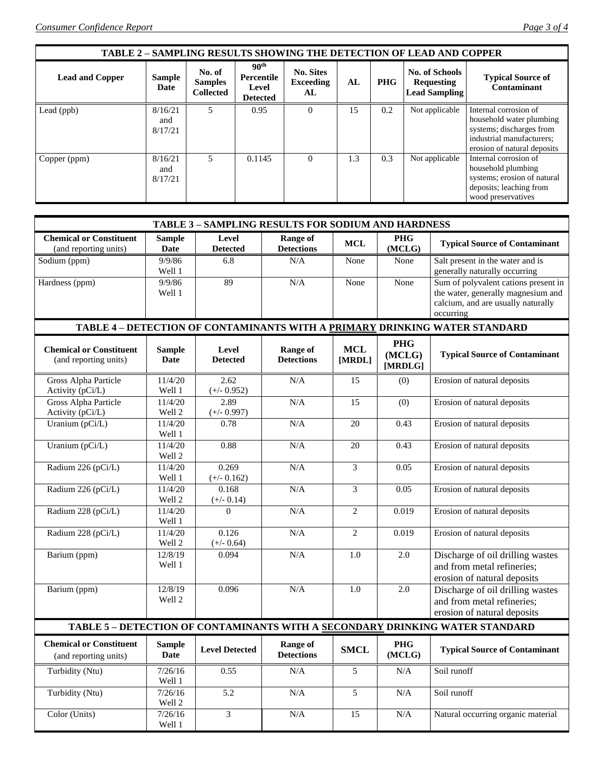| <b>TABLE 2 - SAMPLING RESULTS SHOWING THE DETECTION OF LEAD AND COPPER</b> |                           |                                              |                                                            |                                            |     |            |                                                                    |                                                                                                                                           |
|----------------------------------------------------------------------------|---------------------------|----------------------------------------------|------------------------------------------------------------|--------------------------------------------|-----|------------|--------------------------------------------------------------------|-------------------------------------------------------------------------------------------------------------------------------------------|
| <b>Lead and Copper</b>                                                     | <b>Sample</b><br>Date     | No. of<br><b>Samples</b><br><b>Collected</b> | 90 <sup>th</sup><br>Percentile<br>Level<br><b>Detected</b> | <b>No. Sites</b><br><b>Exceeding</b><br>AL | AL  | <b>PHG</b> | <b>No. of Schools</b><br><b>Requesting</b><br><b>Lead Sampling</b> | <b>Typical Source of</b><br>Contaminant                                                                                                   |
| Lead (ppb)                                                                 | 8/16/21<br>and<br>8/17/21 | $\overline{\phantom{0}}$                     | 0.95                                                       | $\Omega$                                   | 15  | 0.2        | Not applicable                                                     | Internal corrosion of<br>household water plumbing<br>systems; discharges from<br>industrial manufacturers;<br>erosion of natural deposits |
| Copper (ppm)                                                               | 8/16/21<br>and<br>8/17/21 | 5                                            | 0.1145                                                     | $\Omega$                                   | 1.3 | 0.3        | Not applicable                                                     | Internal corrosion of<br>household plumbing<br>systems; erosion of natural<br>deposits; leaching from<br>wood preservatives               |

| TABLE 3 - SAMPLING RESULTS FOR SODIUM AND HARDNESS                           |                                |                          |                               |                      |                                 |                                                                                                                               |  |  |
|------------------------------------------------------------------------------|--------------------------------|--------------------------|-------------------------------|----------------------|---------------------------------|-------------------------------------------------------------------------------------------------------------------------------|--|--|
| <b>Chemical or Constituent</b><br>(and reporting units)                      | <b>Sample</b><br>Date          | Level<br><b>Detected</b> | Range of<br><b>Detections</b> | <b>MCL</b>           | <b>PHG</b><br>(MCLG)            | <b>Typical Source of Contaminant</b>                                                                                          |  |  |
| Sodium (ppm)                                                                 | 9/9/86<br>Well 1               | 6.8                      | N/A                           | None                 | None                            | Salt present in the water and is<br>generally naturally occurring                                                             |  |  |
| Hardness (ppm)                                                               | 9/9/86<br>Well 1               | 89                       | N/A                           | None                 | None                            | Sum of polyvalent cations present in<br>the water, generally magnesium and<br>calcium, and are usually naturally<br>occurring |  |  |
|                                                                              |                                |                          |                               |                      |                                 | TABLE 4 - DETECTION OF CONTAMINANTS WITH A PRIMARY DRINKING WATER STANDARD                                                    |  |  |
| <b>Chemical or Constituent</b><br>(and reporting units)                      | <b>Sample</b><br><b>Date</b>   | Level<br><b>Detected</b> | Range of<br><b>Detections</b> | <b>MCL</b><br>[MRDL] | <b>PHG</b><br>(MCLG)<br>[MRDLG] | <b>Typical Source of Contaminant</b>                                                                                          |  |  |
| Gross Alpha Particle<br>Activity (pCi/L)                                     | 11/4/20<br>Well 1              | 2.62<br>$(+/- 0.952)$    | N/A                           | 15                   | (0)                             | Erosion of natural deposits                                                                                                   |  |  |
| Gross Alpha Particle<br>Activity (pCi/L)                                     | 11/4/20<br>Well 2              | 2.89<br>$(+/- 0.997)$    | N/A                           | $\overline{15}$      | (0)                             | Erosion of natural deposits                                                                                                   |  |  |
| Uranium (pCi/L)                                                              | 11/4/20<br>Well 1              | 0.78                     | N/A                           | 20                   | 0.43                            | Erosion of natural deposits                                                                                                   |  |  |
| Uranium (pCi/L)                                                              | 11/4/20<br>Well 2              | 0.88                     | N/A                           | 20                   | 0.43                            | Erosion of natural deposits                                                                                                   |  |  |
| Radium 226 (pCi/L)                                                           | $\frac{1}{11}{4/20}$<br>Well 1 | 0.269<br>$(+/- 0.162)$   | N/A                           | 3                    | 0.05                            | Erosion of natural deposits                                                                                                   |  |  |
| Radium 226 (pCi/L)                                                           | 11/4/20<br>Well 2              | 0.168<br>$(+/- 0.14)$    | N/A                           | 3                    | 0.05                            | Erosion of natural deposits                                                                                                   |  |  |
| Radium 228 (pCi/L)                                                           | 11/4/20<br>Well 1              | $\Omega$                 | N/A                           | $\overline{c}$       | 0.019                           | Erosion of natural deposits                                                                                                   |  |  |
| Radium 228 (pCi/L)                                                           | 11/4/20<br>Well 2              | 0.126<br>$(+/- 0.64)$    | N/A                           | $\overline{2}$       | 0.019                           | Erosion of natural deposits                                                                                                   |  |  |
| Barium (ppm)                                                                 | 12/8/19<br>Well 1              | 0.094                    | N/A                           | 1.0                  | 2.0                             | Discharge of oil drilling wastes<br>and from metal refineries;<br>erosion of natural deposits                                 |  |  |
| Barium (ppm)                                                                 | 12/8/19<br>Well 2              | 0.096                    | N/A                           | 1.0                  | 2.0                             | Discharge of oil drilling wastes<br>and from metal refineries;<br>erosion of natural deposits                                 |  |  |
| TABLE 5 - DETECTION OF CONTAMINANTS WITH A SECONDARY DRINKING WATER STANDARD |                                |                          |                               |                      |                                 |                                                                                                                               |  |  |
| <b>Chemical or Constituent</b><br>(and reporting units)                      | <b>Sample</b><br><b>Date</b>   | <b>Level Detected</b>    | Range of<br><b>Detections</b> | <b>SMCL</b>          | <b>PHG</b><br>(MCLG)            | <b>Typical Source of Contaminant</b>                                                                                          |  |  |
| Turbidity (Ntu)                                                              | 7/26/16<br>Well 1              | 0.55                     | N/A                           | 5                    | N/A                             | Soil runoff                                                                                                                   |  |  |
| Turbidity (Ntu)                                                              | 7/26/16<br>Well 2              | 5.2                      | N/A                           | $\overline{5}$       | N/A                             | Soil runoff                                                                                                                   |  |  |
| Color (Units)                                                                | 7/26/16<br>Well 1              | 3                        | N/A                           | 15                   | N/A                             | Natural occurring organic material                                                                                            |  |  |